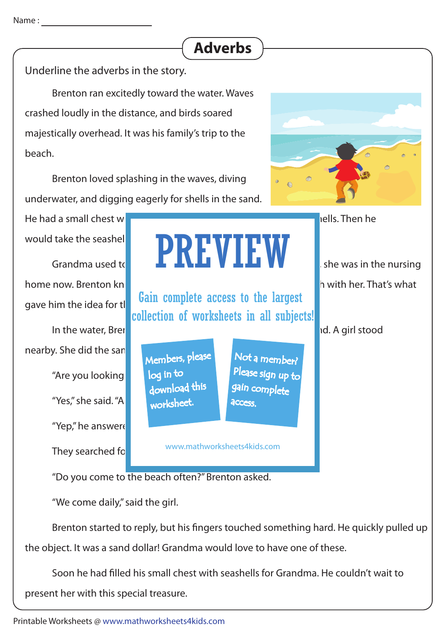## **Adverbs**

Underline the adverbs in the story.

 Brenton ran excitedly toward the water. Waves crashed loudly in the distance, and birds soared majestically overhead. It was his family's trip to the beach.

 Brenton loved splashing in the waves, diving underwater, and digging eagerly for shells in the sand.

He had a small chest with  $\frac{1}{\sqrt{1-\frac{1}{n}}}\left\| \frac{1}{\sqrt{1-\frac{1}{n}}}\right\|$  als. Then he would take the seashel

home now. Brenton knew she would love to have a part of the beach with her. That's what gave him the idea for the

In the water, Brenton sand ran his ngers through sand ran his ngers through sand ran his ngers through sand ra nearby. She did the san "Are you looking "Yes," she said. "A "Yep," he answere They searched fo

would take the seashel **PREVIEW** she was in the nursing

Gain complete access to the largest collection of worksheets in all subjects!

Members, please download this worksheet. log in to

www.mathworksheets4kids.com

"Do you come to the beach often?" Brenton asked.

"We come daily," said the girl.

Brenton started to reply, but his fingers touched something hard. He quickly pulled up the object. It was a sand dollar! Grandma would love to have one of these.

Soon he had filled his small chest with seashells for Grandma. He couldn't wait to present her with this special treasure.

Not a member?

Please sign up to

gain complete

**access**